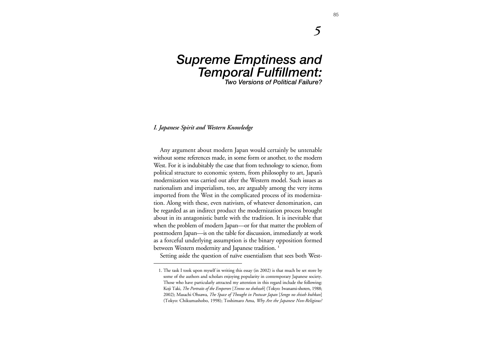# *Supreme Emptiness and Temporal Fulfillment: Two Versions of Political Failure?*

## *I. Japanese Spirit and Western Knowledge*

Any argument about modern Japan would certainly be untenable without some references made, in some form or another, to the modern West. For it is indubitably the case that from technology to science, from political structure to economic system, from philosophy to art, Japan's modernization was carried out after the Western model. Such issues as nationalism and imperialism, too, are arguably among the very items imported from the West in the complicated process of its modernization. Along with these, even nativism, of whatever denomination, can be regarded as an indirect product the modernization process brought about in its antagonistic battle with the tradition. It is inevitable that when the problem of modern Japan—or for that matter the problem of postmodern Japan—is on the table for discussion, immediately at work as a forceful underlying assumption is the binary opposition formed between Western modernity and Japanese tradition. **<sup>1</sup>**

Setting aside the question of naïve essentialism that sees both West-

*5*

<sup>1.</sup> The task I took upon myself in writing this essay (in 2002) is that much be set store by some of the authors and scholars enjoying popularity in contemporary Japanese society. Those who have particularly attracted my attention in this regard include the following: Koji Taki, *The Portraits of the Emperors* [*Tenno no shohzoh*] (Tokyo: Iwanami-shoten, 1988; 2002); Masachi Ohsawa, *The Space of Thought in Postwar Japan* [*Sengo no shisoh kuhkan*] (Tokyo: Chikumashobo, 1998); Toshimaro Ama, *Why Are the Japanese Non-Religious?*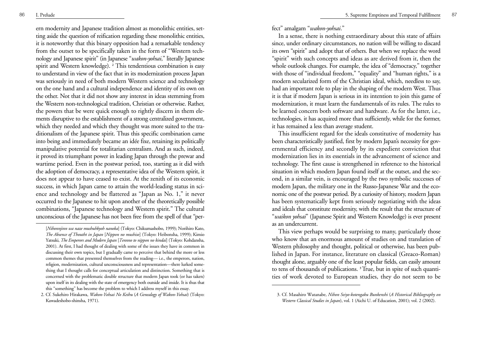ern modernity and Japanese tradition almost as monolithic entities, setting aside the question of reification regarding these monolithic entities, it is noteworthy that this binary opposition had a remarkable tendency from the outset to be specifically taken in the form of "Western technology and Japanese spirit" (in Japanese "*wakon-yohsai*," literally Japanese spirit and Western knowledge). **2** This tendentious combination is easy to understand in view of the fact that in its modernization process Japan was seriously in need of both modern Western science and technology on the one hand and a cultural independence and identity of its own on the other. Not that it did not show any interest in ideas stemming from the Western non-technological tradition, Christian or otherwise. Rather, the powers that be were quick enough to rightly discern in them elements disruptive to the establishment of a strong centralized government, which they needed and which they thought was more suited to the traditionalism of the Japanese spirit. Thus this specific combination came into being and immediately became an idée fixe, retaining its politically manipulative potential for totalitarian centralism. And as such, indeed, it proved its triumphant power in leading Japan through the prewar and wartime period. Even in the postwar period, too, starting as it did with the adoption of democracy, a representative idea of the Western spirit, it does not appear to have ceased to exist. At the zenith of its economic success, in which Japan came to attain the world-leading status in science and technology and be flattered as "Japan as No. 1," it never occurred to the Japanese to hit upon another of the theoretically possible combinations, "Japanese technology and Western spirit." The cultural unconscious of the Japanese has not been free from the spell of that "perfect" amalgam "*wakon-yohsai*."

In a sense, there is nothing extraordinary about this state of affairs since, under ordinary circumstances, no nation will be willing to discard its own "spirit" and adopt that of others. But when we replace the word "spirit" with such concepts and ideas as are derived from it, then the whole outlook changes. For example, the idea of "democracy," together with those of "individual freedom," "equality" and "human rights," is a modern secularized form of the Christian ideal, which, needless to say, had an important role to play in the shaping of the modern West. Thus it is that if modern Japan is serious in its intention to join this game of modernization, it must learn the fundamentals of its rules. The rules to be learned concern both software and hardware. As for the latter, i.e., technologies, it has acquired more than sufficiently, while for the former, it has remained a less than average student.

This insufficient regard for the ideals constitutive of modernity has been characteristically justified, first by modern Japan's necessity for governmental efficiency and secondly by its expedient conviction that modernization lies in its essentials in the advancement of science and technology. The first cause is strengthened in reference to the historical situation in which modern Japan found itself at the outset, and the second, in a similar vein, is encouraged by the two symbolic successes of modern Japan, the military one in the Russo-Japanese War and the economic one of the postwar period. By a curiosity of history, modern Japan has been systematically kept from seriously negotiating with the ideas and ideals that constitute modernity, with the result that the structure of "*waikon yohsai*" (Japanese Spirit and Western Knowledge) is ever present as an undercurrent.

This view perhaps would be surprising to many, particularly those who know that an enormous amount of studies on and translation of Western philosophy and thought, political or otherwise, has been published in Japan. For instance, literature on classical (Greaco-Roman) thought alone, arguably one of the least popular fields, can easily amount to tens of thousands of publications. **3** True, but in spite of such quantities of work devoted to European studies, they do not seem to be

<sup>[</sup>*Nihonnjinn wa naze mushuhkyoh nanoka*] (Tokyo: Chikumashobo, 1999); Norihiro Kato, *The Absence of Thoutht in Japan* [*Nippon no mushiso*] (Tokyo: Heibonsha, 1999); Kimio Yatsuki, *The Emperors and Modern Japan* [*Tennno to nippon no kindai*] (Tokyo: Kohdansha, 2001). At first, I had thought of dealing with some of the issues they have in common in discussing their own topics, but I gradually came to perceive that behind the more or less common themes that presented themselves from the reading— i.e., the emperors, nation, religion, modernization, cultural unconsciousness and representation—there lurked something that I thought calls for conceptual articulation and distinction. Something that is concerned with the problematic double structure that modern Japan took (or has taken) upon itself in its dealing with the state of emergency both outside and inside. It is thus that this "something" has become the problem to which I address myself in this essay.

<sup>2.</sup> Cf. Sukehiro Hirakawa, *Wakon-Yohsai No Keihu* (*A Genealogy of Wakon-Yohsai*) (Tokyo: Kawadeshobo-shinsha, 1971).

<sup>3.</sup> Cf. Masahiro Watanabe, *Nihon Seiyo-kotengaku Bunkenshi* (*A Historical Bibliography on Western Classical Studies in Japan*), vol. 1 (Aichi U. of Education, 2001); vol. 2 (2002).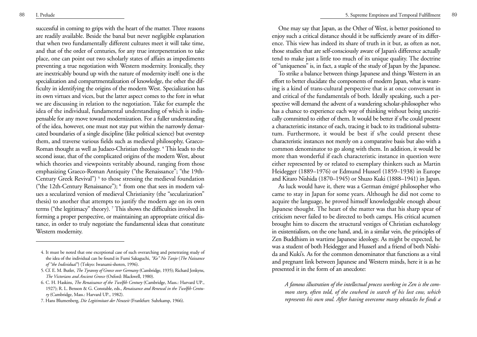successful in coming to grips with the heart of the matter. Three reasons are readily available. Beside the banal but never negligible explanation that when two fundamentally different cultures meet it will take time, and that of the order of centuries, for any true interpenetration to take place, one can point out two scholarly states of affairs as impediments preventing a true negotiation with Western modernity. Ironically, they are inextricably bound up with the nature of modernity itself: one is the specialization and compartmentalization of knowledge, the other the difficulty in identifying the origins of the modern West. Specialization has its own virtues and vices, but the latter aspect comes to the fore in what we are discussing in relation to the negotiation. Take for example the idea of the individual, fundamental understanding of which is indispensable for any move toward modernization. For a fuller understanding of the idea, however, one must not stay put within the narrowly demarcated boundaries of a single discipline (like political science) but overstep them, and traverse various fields such as medieval philosophy, Graeco-Roman thought as well as Judaeo-Christian theology. **<sup>4</sup>** This leads to the second issue, that of the complicated origins of the modern West, about which theories and viewpoints veritably abound, ranging from those emphasizing Graeco-Roman Antiquity ("the Renaissance"; "the 19th-Century Greek Revival")<sup>5</sup> to those stressing the medieval foundation ("the 12th-Century Renaissance"); **6** from one that sees in modern values a secularized version of medieval Christianity (the "secularization" thesis) to another that attempts to justify the modern age on its own terms ("the legitimacy" theory). **<sup>7</sup>** This shows the difficulties involved in forming a proper perspective, or maintaining an appropriate critical distance, in order to truly negotiate the fundamental ideas that constitute Western modernity.

One may say that Japan, as the Other of West, is better positioned to enjoy such a critical distance should it be sufficiently aware of its difference. This view has indeed its share of truth in it but, as often as not, those studies that are self-consciously aware of Japan's difference actually tend to make just a little too much of its unique quality. The doctrine of "uniqueness" is, in fact, a staple of the study of Japan by the Japanese.

To strike a balance between things Japanese and things Western in an effort to better elucidate the components of modern Japan, what is wanting is a kind of trans-cultural perspective that is at once conversant in and critical of the fundamentals of both. Ideally speaking, such a perspective will demand the advent of a wandering scholar-philosopher who has a chance to experience each way of thinking without being uncritically committed to either of them. It would be better if s/he could present a characteristic instance of each, tracing it back to its traditional substratum. Furthermore, it would be best if s/he could present these characteristic instances not merely on a comparative basis but also with a common denominator to go along with them. In addition, it would be more than wonderful if each characteristic instance in question were either represented by or related to exemplary thinkers such as Martin Heidegger (1889–1976) or Edmund Husserl (1859–1938) in Europe and Kitaro Nishida (1870–1945) or Shuzo Kuki (1888–1941) in Japan.

As luck would have it, there was a German émigré philosopher who came to stay in Japan for some years. Although he did not come to acquire the language, he proved himself knowledgeable enough about Japanese thought. The heart of the matter was that his sharp spear of criticism never failed to be directed to both camps. His critical acumen brought him to discern the structural vestiges of Christian eschatology in existentialism, on the one hand, and, in a similar vein, the principles of Zen Buddhism in wartime Japanese ideology. As might be expected, he was a student of both Heidegger and Husserl and a friend of both Nishida and Kuki's. As for the common denominator that functions as a vital and pregnant link between Japanese and Western minds, here it is as he presented it in the form of an anecdote:

*A famous illustration of the intellectual process working in Zen is the common story, often told, of the cowherd in search of his lost cow, which represents his own soul. After having overcome many obstacles he finds a*

<sup>4.</sup> It must be noted that one exceptional case of such overarching and penetrating study of the idea of the individual can be found in Fumi Sakaguchi, *"Ko" No Tanjo* (*The Naissance of "the Individual"*) (Tokyo: Iwanami-shoten, 1996).

<sup>5.</sup> Cf. E. M. Butler, *The Tyranny of Greece over Germany* (Cambridge, 1935); Richard Jenkyns, *The Victorians and Ancient Greece* (Oxford: Blackwell, 1980).

<sup>6.</sup> C. H. Haskins, *The Renaissance of the Twelfth Century* (Cambridge, Mass.: Harvard UP., 1927); R. L. Benson & G. Constable, eds., *Renaissance and Renewal in the Twelfth Century* (Cambridge, Mass.: Harvard UP., 1982).

<sup>7.</sup> Hans Blumenberg, *Die Legitimitaet der Neuzeit* (Frankfurt: Suhrkamp, 1966).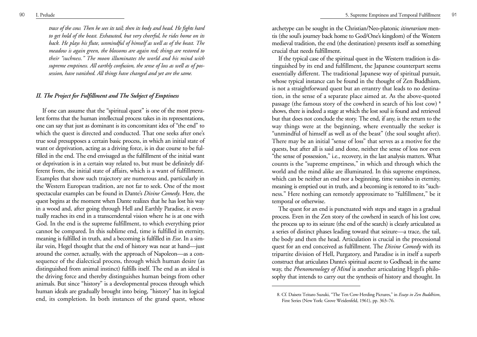*trace of the cow. Then he sees its tail; then its body and head. He fights hard to get hold of the beast. Exhausted, but very cheerful, he rides home on its back. He plays his flute, unmindful of himself as well as of the beast. The meadow is again green, the blossoms are again red; things are restored to their "suchness." The moon illuminates the world and his mind with supreme emptiness. All earthly confusion, the sense of loss as well as of possession, have vanished. All things have changed and yet are the same.*

## *II. The Project for Fulfillment and The Subject of Emptiness*

If one can assume that the "spiritual quest" is one of the most prevalent forms that the human intellectual process takes in its representations, one can say that just as dominant is its concomitant idea of "the end" to which the quest is directed and conducted. That one seeks after one's true soul presupposes a certain basic process, in which an initial state of want or deprivation, acting as a driving force, is in due course to be fulfilled in the end. The end envisaged as the fulfillment of the initial want or deprivation is in a certain way related to, but must be definitely different from, the initial state of affairs, which is a want of fulfillment. Examples that show such trajectory are numerous and, particularly in the Western European tradition, are not far to seek. One of the most spectacular examples can be found in Dante's *Divine Comedy*. Here, the quest begins at the moment when Dante realizes that he has lost his way in a wood and, after going through Hell and Earthly Paradise, it eventually reaches its end in a transcendental vision where he is at one with God. In the end is the supreme fulfillment, to which everything prior cannot be compared. In this sublime end, time is fulfilled in eternity, meaning is fulfilled in truth, and a becoming is fulfilled in *Esse*. In a similar vein, Hegel thought that the end of history was near at hand—just around the corner, actually, with the approach of Napoleon—as a consequence of the dialectical process, through which human desire (as distinguished from animal instinct) fulfills itself. The end as an ideal is the driving force and thereby distinguishes human beings from other animals. But since "history" is a developmental process through which human ideals are gradually brought into being, "history" has its logical end, its completion. In both instances of the grand quest, whose archetype can be sought in the Christian/Neo-platonic *itinerarium* mentis (the soul's journey back home to God/One's kingdom) of the Western medieval tradition, the end (the destination) presents itself as something crucial that needs fulfillment.

If the typical case of the spiritual quest in the Western tradition is distinguished by its end and fulfillment, the Japanese counterpart seems essentially different. The traditional Japanese way of spiritual pursuit, whose typical instance can be found in the thought of Zen Buddhism, is not a straightforward quest but an errantry that leads to no destination, in the sense of a separate place aimed at. As the above-quoted passage (the famous story of the cowherd in search of his lost cow) **<sup>8</sup>** shows, there is indeed a stage at which the lost soul is found and retrieved but that does not conclude the story. The end, if any, is the return to the way things were at the beginning, where eventually the seeker is "unmindful of himself as well as of the beast" (the soul sought after). There may be an initial "sense of loss" that serves as a motive for the quests, but after all is said and done, neither the sense of loss nor even "the sense of possession," i.e., recovery, in the last analysis matters. What counts is the "supreme emptiness," in which and through which the world and the mind alike are illuminated. In this supreme emptiness, which can be neither an end nor a beginning, time vanishes in eternity, meaning is emptied out in truth, and a becoming is restored to its "suchness." Here nothing can remotely approximate to "fulfillment," be it temporal or otherwise.

The quest for an end is punctuated with steps and stages in a gradual process. Even in the Zen story of the cowherd in search of his lost cow, the process up to its seizure (the end of the search) is clearly articulated as a series of distinct phases leading toward that seizure—a trace, the tail, the body and then the head. Articulation is crucial in the processional quest for an end conceived as fulfillment. The *Divine Comedy* with its tripartite division of Hell, Purgatory, and Paradise is in itself a superb construct that articulates Dante's spiritual ascent to Godhead; in the same way, the *Phenomenology of Mind* is another articulating Hegel's philosophy that intends to carry out the synthesis of history and thought. In

<sup>8.</sup> Cf. Daisetz Teitaro Suzuki, "The Ten Cow-Herding Pictures," in *Essays in Zen Buddhism*, First Series (New York: Grove Weidenfeld, 1961), pp. 363–76.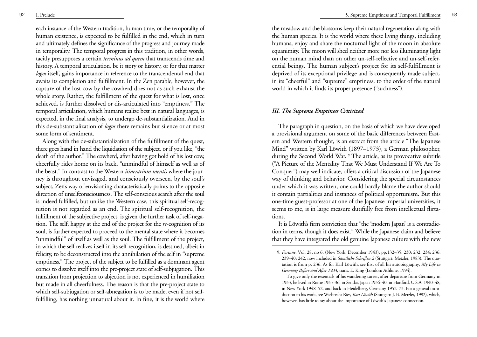each instance of the Western tradition, human time, or the temporality of human existence, is expected to be fulfilled in the end, which in turn and ultimately defines the significance of the progress and journey made in temporality. The temporal progress in this tradition, in other words, tacitly presupposes a certain *terminus ad quem* that transcends time and history. A temporal articulation, be it story or history, or for that matter *logos* itself, gains importance in reference to the transcendental end that awaits its completion and fulfillment. In the Zen parable, however, the capture of the lost cow by the cowherd does not as such exhaust the whole story. Rather, the fulfillment of the quest for what is lost, once achieved, is further dissolved or dis-articulated into "emptiness." The temporal articulation, which humans realize best in natural languages, is expected, in the final analysis, to undergo de-substantialization. And in this de-substantialization of *logos* there remains but silence or at most some form of sentiment.

Along with the de-substantialization of the fulfillment of the quest, there goes hand in hand the liquidation of the subject, or if you like, "the death of the author." The cowherd, after having got hold of his lost cow, cheerfully rides home on its back, "unmindful of himself as well as of the beast." In contrast to the Western *itinerarium mentis* where the journey is throughout envisaged, and consciously overseen, by the soul's subject, Zen's way of envisioning characteristically points to the opposite direction of unselfconsciousness. The self-conscious search after the soul is indeed fulfilled, but unlike the Western case, this spiritual self-recognition is not regarded as an end. The spiritual self-recognition, the fulfillment of the subjective project, is given the further task of self-negation. The self, happy at the end of the project for the *re*-cognition of its soul, is further expected to proceed to the mental state where it becomes "unmindful" of itself as well as the soul. The fulfillment of the project, in which the self realizes itself in its self-recognition, is destined, albeit in felicity, to be deconstructed into the annihilation of the self in "supreme emptiness." The project of the subject to be fulfilled as a dominant agent comes to dissolve itself into the pre-project state of self-subjugation. This transition from projection to abjection is not experienced in humiliation but made in all cheerfulness. The reason is that the pre-project state to which self-subjugation or self-abnegation is to be made, even if not selffulfilling, has nothing unnatural about it. In fine, it is the world where

the meadow and the blossoms keep their natural regeneration along with the human species. It is the world where these living things, including humans, enjoy and share the nocturnal light of the moon in absolute equanimity. The moon will shed neither more nor less illuminating light on the human mind than on other un-self-reflective and un-self-referential beings. The human subject's project for its self-fulfillment is deprived of its exceptional privilege and is consequently made subject, in its "cheerful" and "supreme" emptiness, to the order of the natural world in which it finds its proper presence ("suchness").

#### *III. The Supreme Emptiness Criticized*

The paragraph in question, on the basis of which we have developed a provisional argument on some of the basic differences between Eastern and Western thought, is an extract from the article "The Japanese Mind" written by Karl Löwith (1897–1973), a German philosopher, during the Second World War. **<sup>9</sup>** The article, as its provocative subtitle ("A Picture of the Mentality That We Must Understand If We Are To Conquer") may well indicate, offers a critical discussion of the Japanese way of thinking and behavior. Considering the special circumstances under which it was written, one could hardly blame the author should it contain partialities and instances of political opportunism. But this one-time guest-professor at one of the Japanese imperial universities, it seems to me, is in large measure dutifully free from intellectual flirtations.

It is Löwith's firm conviction that "the 'modern Japan' is a contradiction in terms, though it does exist." While the Japanese claim and believe that they have integrated the old genuine Japanese culture with the new

<sup>9.</sup> *Fortune*, Vol. 28, no 6, (New York, December 1943), pp.132–35; 230; 232, 234; 236; 239–40; 242, now included in *Sämtliche Schriften 2* (Stuttgart: Metzler, 1983). The quotation is from p. 236. As for Karl Löwith, see first of all his autobiography, *My Life in Germany Before and After 1933*, trans. E. King (London: Athlone, 1994).

To give only the essentials of his wandering career, after departure from Germany in 1933, he lived in Rome 1933–36, in Sendai, Japan 1936–40, in Hartford, U.S.A. 1940–48, in New York 1948–52, and back in Heidelberg, Germany 1952–73. For a general introduction to his work, see Wiebrecht Ries, *Karl Löwith* (Stuttgart: J. B. Metzler, 1992), which, however, has little to say about the importance of Löwith's Japanese connection.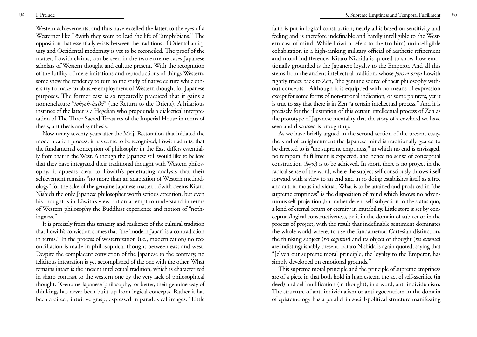Western achievements, and thus have excelled the latter, to the eyes of a Westerner like Löwith they seem to lead the life of "amphibians." The opposition that essentially exists between the traditions of Oriental antiquity and Occidental modernity is yet to be reconciled. The proof of the matter, Löwith claims, can be seen in the two extreme cases Japanese scholars of Western thought and culture present. With the recognition of the futility of mere imitations and reproductions of things Western, some show the tendency to turn to the study of native culture while others try to make an abusive employment of Western thought for Japanese purposes. The former case is so repeatedly practiced that it gains a nomenclature "*tohyoh-kaiki*" (the Return to the Orient). A hilarious instance of the latter is a Hegelian who propounds a dialectical interpretation of The Three Sacred Treasures of the Imperial House in terms of thesis, antithesis and synthesis.

Now nearly seventy years after the Meiji Restoration that initiated the modernization process, it has come to be recognized, Löwith admits, that the fundamental conception of philosophy in the East differs essentially from that in the West. Although the Japanese still would like to believe that they have integrated their traditional thought with Western philosophy, it appears clear to Löwith's penetrating analysis that their achievement remains "no more than an adaptation of Western methodology" for the sake of the genuine Japanese matter. Löwith deems Kitaro Nishida the only Japanese philosopher worth serious attention, but even his thought is in Löwith's view but an attempt to understand in terms of Western philosophy the Buddhist experience and notion of "nothingness."

It is precisely from this tenacity and resilience of the cultural tradition that Löwith's conviction comes that "the 'modern Japan' is a contradiction in terms." In the process of westernization (i.e., modernization) no reconciliation is made in philosophical thought between east and west. Despite the complacent conviction of the Japanese to the contrary, no felicitous integration is yet accomplished of the one with the other. What remains intact is the ancient intellectual tradition, which is characterized in sharp contrast to the western one by the very lack of philosophical thought. "Genuine Japanese 'philosophy,' or better, their genuine way of thinking, has never been built up from logical concepts. Rather it has been a direct, intuitive grasp, expressed in paradoxical images." Little faith is put in logical construction; nearly all is based on sensitivity and feeling and is therefore indefinable and hardly intelligible to the Western cast of mind. While Löwith refers to the (to him) unintelligible cohabitation in a high-ranking military official of aesthetic refinement and moral indifference, Kitaro Nishida is quoted to show how emotionally grounded is the Japanese loyalty to the Emperor. And all this stems from the ancient intellectual tradition, whose *fons et origo* Löwith rightly traces back to Zen, "the genuine source of their philosophy without concepts." Although it is equipped with no means of expression except for some forms of non-rational indication, or some pointers, yet it is true to say that there is in Zen "a certain intellectual process." And it is precisely for the illustration of this certain intellectual process of Zen as the prototype of Japanese mentality that the story of a cowherd we have seen and discussed is brought up.

As we have briefly argued in the second section of the present essay, the kind of enlightenment the Japanese mind is traditionally geared to be directed to is "the supreme emptiness," in which no end is envisaged, no temporal fulfillment is expected, and hence no sense of conceptual construction (*logos*) is to be achieved. In short, there is no project in the radical sense of the word, where the subject self-consciously throws itself forward with a view to an end and in so doing establishes itself as a free and autonomous individual. What is to be attained and produced in "the supreme emptiness" is the disposition of mind which knows no adventurous self-projection ,but rather decent self-subjection to the status quo, a kind of eternal return or eternity in mutability. Little store is set by conceptual/logical constructiveness, be it in the domain of subject or in the process of project, with the result that indefinable sentiment dominates the whole world where, to use the fundamental Cartesian distinction, the thinking subject (*res cogitans*) and its object of thought (*res extensa*) are indistinguishably present. Kitaro Nishida is again quoted, saying that "[e]ven our supreme moral principle, the loyalty to the Emperor, has simply developed on emotional grounds."

This supreme moral principle and the principle of supreme emptiness are of a piece in that both hold in high esteem the act of self-sacrifice (in deed) and self-nullification (in thought), in a word, anti-individualism. The structure of anti-individualism or anti-egocentrism in the domain of epistemology has a parallel in social-political structure manifesting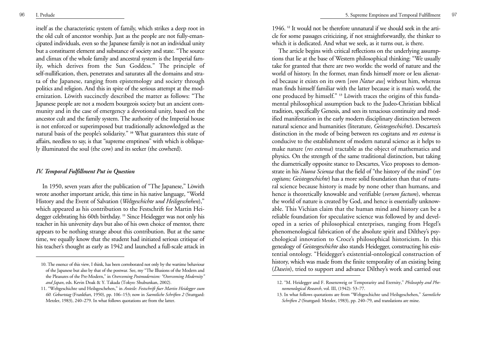itself as the characteristic system of family, which strikes a deep root in the old cult of ancestor worship. Just as the people are not fully-emancipated individuals, even so the Japanese family is not an individual unity but a constituent element and substance of society and state. "The source and climax of the whole family and ancestral system is the Imperial family, which derives from the Sun Goddess." The principle of self-nullification, then, penetrates and saturates all the domains and strata of the Japanese, ranging from epistemology and society through politics and religion. And this in spite of the serious attempt at the modernization. Löwith succinctly described the matter as follows: "The Japanese people are not a modern bourgeois society but an ancient community and in the case of emergency a devotional unity, based on the ancestor cult and the family system. The authority of the Imperial house is not enforced or superimposed but traditionally acknowledged as the natural basis of the people's solidarity." **<sup>10</sup>** What guarantees this state of affairs, needless to say, is that "supreme emptiness" with which is obliquely illuminated the soul (the cow) and its seeker (the cowherd).

### *IV. Temporal Fulfillment Put in Question*

In 1950, seven years after the publication of "The Japanese," Löwith wrote another important article, this time in his native language, "World History and the Event of Salvation ( *Weltgeschichte und Heilsgeschehen*)," which appeared as his contribution to the Festschrift for Martin Heidegger celebrating his 60th birthday. **<sup>11</sup>** Since Heidegger was not only his teacher in his university days but also of his own choice of mentor, there appears to be nothing strange about this contribution. But at the same time, we equally know that the student had initiated serious critique of his teacher's thought as early as 1942 and launched a full-scale attack in

1946. **<sup>12</sup>** It would not be therefore unnatural if we should seek in the article for some passages criticizing, if not straightforwardly, the thinker to which it is dedicated. And what we seek, as it turns out, is there.

The article begins with critical reflections on the underlying assumptions that lie at the base of Western philosophical thinking: "We usually take for granted that there are two worlds: the world of nature and the world of history. In the former, man finds himself more or less alienated because it exists on its own [*von Natur aus*] without him, whereas man finds himself familiar with the latter because it is man's world, the one produced by himself." **<sup>13</sup>** Löwith traces the origins of this fundamental philosophical assumption back to the Judeo-Christian biblical tradition, specifically Genesis, and sees its tenacious continuity and modified manifestation in the early modern disciplinary distinction between natural science and humanities (literature, *Geistesgeschichte*). Descartes's distinction in the mode of being between res cogitans and *res extensa* is conducive to the establishment of modern natural science as it helps to make nature (*res extensa*) tractable as the object of mathematics and <sup>p</sup>hysics. On the strength of the same traditional distinction, but taking the diametrically opposite stance to Descartes, Vico proposes to demonstrate in his *Nuova Scienza* that the field of "the history of the mind" (*res cogitans; Geistesgeschichte*) has a more solid foundation than that of natural science because history is made by none other than humans, and hence is theoretically knowable and verifiable (*verum factum*), whereas the world of nature is created by God, and hence is essentially unknowable. This Vichian claim that the human mind and history can be a reliable foundation for speculative science was followed by and developed in a series of philosophical enterprises, ranging from Hegel's phenomenological fabrication of the absolute spirit and Dilthey's psychological innovation to Croce's philosophical historicism. In this genealogy of *Geistesgeschichte* also stands Heidegger, constructing his existential ontology. "Heidegger's existential-ontological construction of history, which was made from the finite temporality of an existing being (*Dasein*), tried to support and advance Dilthey's work and carried out

<sup>10.</sup> The essence of this view, I think, has been corroborated not only by the wartime behaviour of the Japanese but also by that of the postwar. See, my "The Illusions of the Modern and the Pleasures of the Pre-Modern," in *Overcoming Postmodernism: "Overcoming Modernity" and Japan*, eds. Kevin Doak & Y. Takada (Tokyo: Shubunkan, 2002).

<sup>11. &</sup>quot;Weltgeschichte und Heilsgeschehen," in *Anteile: Festschrift fuer Martin Heidegger zum 60. Geburtstag* (Frankfurt, 1950), pp. 106–153; now in *Saemtliche Schriften 2* (Stuttgard: Metzler, 1983), 240–279. In what follows quotations are from the latter.

<sup>12. &</sup>quot;M. Heidegger and F. Rosenzweig or Temporarity and Eternity," *Philosophy and Phenomenological Research*, vol. III, (1942): 53–77.

<sup>13.</sup> In what follows quotations are from "Weltgeschichte und Heilsgeschehen," *Saemtliche Schriften 2* (Stuttgard: Metzler, 1983), pp. 240–79, and translations are mine.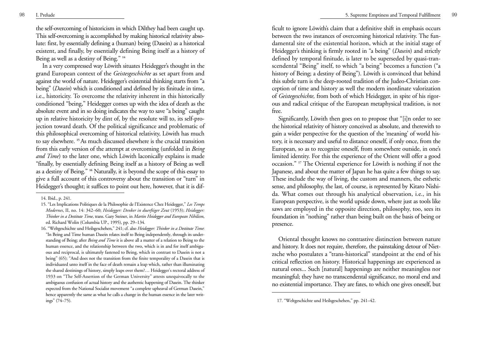the self-overcoming of historicism in which Dilthey had been caught up. This self-overcoming is accomplished by making historical relativity absolute: first, by essentially defining a (human) being (Dasein) as a historical existent, and finally, by essentially defining Being itself as a history of Being as well as a destiny of Being." **<sup>14</sup>**

In a very compressed way Löwith situates Heidegger's thought in the grand European context of the *Geistesgeschichte* as set apart from and against the world of nature. Heidegger's existential thinking starts from "a being" ( *Dasein*) which is conditioned and defined by its finitude in time, i.e., historicity. To overcome the relativity inherent in this historically conditioned "being," Heidegger comes up with the idea of death as the absolute event and in so doing indicates the way to save "a being" caught up in relative historicity by dint of, by the resolute will to, its self-projection toward death. Of the political significance and problematic of this philosophical overcoming of historical relativity, Löwith has much to say elsewhere. **15** As much discussed elsewhere is the crucial transition from this early version of the attempt at overcoming (unfolded in *Being and Time*) to the later one, which Löwith laconically explains is made "finally, by essentially defining Being itself as a history of Being as well as a destiny of Being." **<sup>16</sup>** Naturally, it is beyond the scope of this essay to <sup>g</sup>ive a full account of this controversy about the transition or "turn" in Heidegger's thought; it suffices to point out here, however, that it is difficult to ignore Löwith's claim that a definitive shift in emphasis occurs between the two instances of overcoming historical relativity. The fundamental site of the existential horizon, which at the initial stage of Heidegger's thinking is firmly rooted in "a being" ( *Dasein*) and strictly defined by temporal finitude, is later to be superseded by quasi-transcendental "Being" itself, to which "a being" becomes a function ("a history of Being; a destiny of Being"). Löwith is convinced that behind this subtle turn is the deep-rooted tradition of the Judeo-Christian conception of time and history as well the modern inordinate valorization of *Geistegeschichte,* from both of which Heidegger, in spite of his rigorous and radical critique of the European metaphysical tradition, is not free.

Significantly, Löwith then goes on to propose that "[i]n order to see the historical relativity of history conceived as absolute, and therewith to gain a wider perspective for the question of the 'meaning' of world history, it is necessary and useful to distance oneself, if only once, from the European, so as to recognize oneself, from somewhere outside, in one's limited identity. For this the experience of the Orient will offer a good occasion." **<sup>17</sup>** The Oriental experience for Löwith is nothing if not the Japanese, and about the matter of Japan he has quite a few things to say. These include the way of living, the custom and manners, the esthetic sense, and philosophy, the last, of course, is represented by Kitaro Nishida. What comes out through his analytical observation, i.e., in his European perspective, is the world upside down, where just as tools like saws are employed in the opposite direction, philosophy, too, sees its foundation in "nothing" rather than being built on the basis of being or presence.

Oriental thought knows no contrastive distinction between nature and history. It does not require, therefore, the painstaking detour of Nietzsche who postulates a "trans-historical" standpoint at the end of his critical reflection on history. Historical happenings are experienced as natural ones... Such [natural] happenings are neither meaningless nor meaningful; they have no transcendental significance, no moral end and no existential importance. They are fates, to which one gives oneself, but

<sup>14.</sup> Ibid., p. 241.

<sup>15. &</sup>quot;Les Implications Politiques de la Philosophie de l'Existence Chez Heidegger," *Les Temps Modernes*, II, no. 14: 342–60; *Heidegger: Denker in duerftiger Zeut* (1953); *Heidegger: Thinker in a Destitute Time*, trans. Gary Steiner, in *Martin Heidegger and European Nihilism*, ed. Richard Wolin (Columbia UP., 1995), pp. 29–134.

<sup>16. &</sup>quot;Weltgeschichte und Heilsgeschehen," 241; cf. also *Heidegger: Thinker in a Destitute Time*: "In Being and Time human Dasein relates itself to Being independently, through its understanding of Being; after *Being and Time* it is above all a matter of a relation to Being to the human essence, and the relationship between the two, which is in and for itself ambiguous and reciprocal, is ultimately fastened to Being, which in contrast to Dasein is not a being" (65); "And does not the transition from the finite temporality of a Dasein that is individuated unto itself in the face of death remain a leap which, rather than illuminating the shared destinings of history, simply leaps over them?… Heidegger's rectoral address of 1933 on "The Self-Assertion of the German University" attests unequivocally to the ambiguous confusion of actual history and the authentic happening of Dasein. The thinker expected from the National Socialist movement "a complete upheaval of German Dasein," hence apparently the same as what he calls a change in the human essence in the later writings" (74–75). 17. "Weltgeschichte und Heilsgeschehen," pp. 241–42.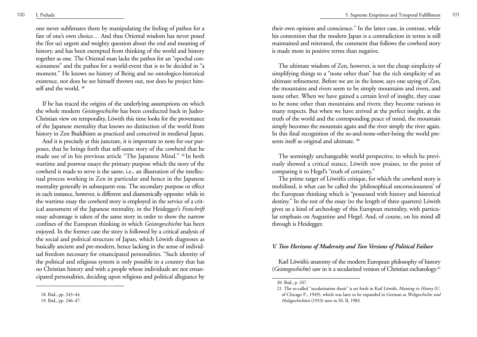one never sublimates them by manipulating the feeling of pathos for a fate of one's own choice… And thus Oriental wisdom has never posed the (for us) urgent and weighty question about the end and meaning of history, and has been exempted from thinking of the world and history together as one. The Oriental man lacks the pathos for an "epochal consciousness" and the pathos for a world-event that is to be decided in "a moment." He knows no history of Being and no ontologico-historical existence, nor does he see himself thrown out, nor does he project himself and the world. **<sup>18</sup>**

If he has traced the origins of the underlying assumptions on which the whole modern *Geistesgeschichte* has been conducted back in Judeo-Christian view on temporality, Löwith this time looks for the provenance of the Japanese mentality that knows no distinction of the world from history in Zen Buddhism as practiced and conceived in medieval Japan.

And it is precisely at this juncture, it is important to note for our purposes, that he brings forth that self-same story of the cowherd that he made use of in his previous article "The Japanese Mind." **19** In both wartime and postwar essays the primary purpose which the story of the cowherd is made to serve is the same, i.e., an illustration of the intellectual process working in Zen in particular and hence in the Japanese mentality generally in subsequent eras. The secondary purpose or effect in each instance, however, is different and diametrically opposite: while in the wartime essay the cowherd story is employed in the service of a critical assessment of the Japanese mentality, in the Heidegger's *Festschrift* essay advantage is taken of the same story in order to show the narrow confines of the European thinking in which *Geistesgeschichte* has been enjoyed. In the former case the story is followed by a critical analysis of the social and political structure of Japan, which Löwith diagnoses as basically ancient and pre-modern, hence lacking in the sense of individual freedom necessary for emancipated personalities. "Such identity of the political and religious system is only possible in a country that has no Christian history and with a people whose individuals are not emancipated personalities, deciding upon religious and political allegiance by their own opinion and conscience." In the latter case, in contrast, while his contention that the modern Japan is a contradiction in terms is still maintained and reiterated, the comment that follows the cowherd story is made more in positive terms than negative.

The ultimate wisdom of Zen, however, is not the cheap simplicity of simplifying things to a "none other than" but the rich simplicity of an ultimate refinement. Before we are in the know, says one saying of Zen, the mountains and rivers seem to be simply mountains and rivers, and none other. When we have gained a certain level of insight, they cease to be none other than mountains and rivers; they become various in many respects. But when we have arrived at the perfect insight, at the truth of the world and the corresponding peace of mind, the mountain simply becomes the mountain again and the river simply the river again. In this final recognition of the so-and-none-other-being the world presents itself as original and ultimate. **<sup>20</sup>**

The seemingly unchangeable world perspective, to which he previously showed a critical stance, Löwith now praises, to the point of comparing it to Hegel's "truth of certainty."

The prime target of Löwith's critique, for which the cowherd story is mobilized, is what can be called the 'philosophical unconsciousness' of the European thinking which is "possessed with history and historical destiny." In the rest of the essay (to the length of three quarters) Löwith gives us a kind of archeology of this European mentality, with particular emphasis on Augustine and Hegel. And, of course, on his mind all through is Heidegger.

## *V. Two Horizons of Modernity and Two Versions of Political Failure*

Karl Löwith's anatomy of the modern European philosophy of history (*Geistesgeschichte*) saw in it a secularized version of Christian eschatology.**<sup>21</sup>**

<sup>18.</sup> Ibid., pp. 243–44.

<sup>19.</sup> Ibid., pp. 246–47.

<sup>20.</sup> Ibid., p. 247.

<sup>21.</sup> The so-called "secularization thesis" is set forth in Karl Löwith, *Meaning in History* (U. of Chicago P., 1949), which was later to be expanded in German as *Weltgeschichte und Heilsgeschichiten* (1953) now in SS, II, 1983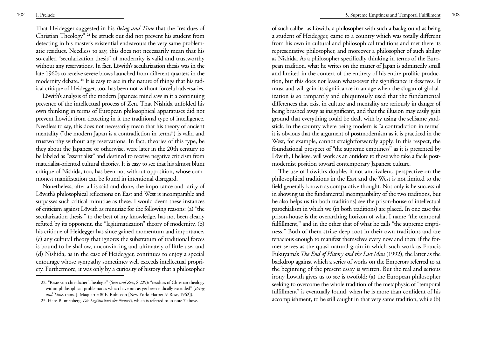That Heidegger suggested in his *Being and Time* that the "residues of Christian Theology" **<sup>22</sup>** be struck out did not prevent his student from detecting in his master's existential endeavours the very same problematic residues. Needless to say, this does not necessarily mean that his so-called "secularization thesis" of modernity is valid and trustworthy without any reservations. In fact, Löwith's secularization thesis was in the late 1960s to receive severe blows launched from different quarters in the modernity debate. **<sup>23</sup>** It is easy to see in the nature of things that his radical critique of Heidegger, too, has been not without forceful adversaries.

Löwith's analysis of the modern Japanese mind saw in it a continuing presence of the intellectual process of Zen. That Nishida unfolded his own thinking in terms of European philosophical apparatuses did not prevent Löwith from detecting in it the traditional type of intelligence. Needless to say, this does not necessarily mean that his theory of ancient mentality ("the modern Japan is a contradiction in terms") is valid and trustworthy without any reservations. In fact, theories of this type, be they about the Japanese or otherwise, were later in the 20th century to be labeled as "essentialist" and destined to receive negative criticism from materialist-oriented cultural theories. It is easy to see that his almost blunt critique of Nishida, too, has been not without opposition, whose commonest manifestation can be found in intentional disregard.

Nonetheless, after all is said and done, the importance and rarity of Löwith's philosophical reflections on East and West is incomparable and surpasses such critical minutiae as these. I would deem these instances of criticism against Löwith as minutiae for the following reasons: (a) "the secularization thesis," to the best of my knowledge, has not been clearly refuted by its opponent, the "legitimatization" theory of modernity, (b) his critique of Heidegger has since gained momentum and importance, (c) any cultural theory that ignores the substratum of traditional forces is bound to be shallow, unconvincing and ultimately of little use, and (d) Nishida, as in the case of Heidegger, continues to enjoy a special entourage whose sympathy sometimes well exceeds intellectual propriety. Furthermore, it was only by a curiosity of history that a philosopher

of such caliber as Löwith, a philosopher with such a background as being a student of Heidegger, came to a country which was totally different from his own in cultural and philosophical traditions and met there its representative philosopher, and moreover a philosopher of such ability as Nishida. As a philosopher specifically thinking in terms of the European tradition, what he writes on the matter of Japan is admittedly small and limited in the context of the entirety of his entire prolific production, but this does not lessen whatsoever the significance it deserves. It must and will gain its significance in an age when the slogan of globalization is so rampantly and ubiquitously used that the fundamental differences that exist in culture and mentality are seriously in danger of being brushed away as insignificant, and that the illusion may easily gain ground that everything could be dealt with by using the selfsame yardstick. In the country where being modern is "a contradiction in terms" it is obvious that the argument of postmodernism as it is practiced in the West, for example, cannot straightforwardly apply. In this respect, the foundational prospect of "the supreme emptiness" as it is presented by Löwith, I believe, will work as an antidote to those who take a facile postmodernist position toward contemporary Japanese culture.

The use of Löwith's double, if not ambivalent, perspective on the philosophical traditions in the East and the West is not limited to the field generally known as comparative thought. Not only is he successful in showing us the fundamental incompatibility of the two traditions, but he also helps us (in both traditions) see the prison-house of intellectual parochialism in which we (in both traditions) are placed. In one case this prison-house is the overarching horizon of what I name "the temporal fulfillment," and in the other that of what he calls "the supreme emptiness." Both of them strike deep root in their own traditions and are tenacious enough to manifest themselves every now and then: if the former serves as the quasi-natural grain in which such work as Francis Fukuyama's *The End of History and the Last Man* (1992), the latter as the backdrop against which a series of works on the Emperors referred to at the beginning of the present essay is written. But the real and serious irony Löwith gives us to see is twofold: (a) the European philosopher seeking to overcome the whole tradition of the metaphysic of "temporal fulfillment" is eventually found, when he is more than confident of his accomplishment, to be still caught in that very same tradition, while (b)

<sup>22. &</sup>quot;Reste von christlicher Theologie" (*Sein und Zei*t, S.229): "residues of Christian theology within philosophical problematics which have not as yet been radically extruded" (*Being and Time*, trans. J. Maquarrie & E. Robinson [New York: Harper & Row, 1962]).

<sup>23.</sup> Hans Blumenberg, *Die Legitimitaet der Neuzeit*, which is referred to in note 7 above.